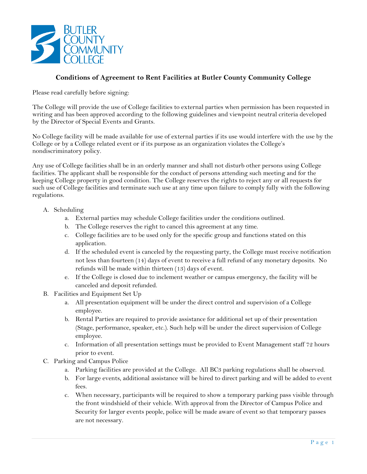

## **Conditions of Agreement to Rent Facilities at Butler County Community College**

Please read carefully before signing:

The College will provide the use of College facilities to external parties when permission has been requested in writing and has been approved according to the following guidelines and viewpoint neutral criteria developed by the Director of Special Events and Grants.

No College facility will be made available for use of external parties if its use would interfere with the use by the College or by a College related event or if its purpose as an organization violates the College's nondiscriminatory policy.

Any use of College facilities shall be in an orderly manner and shall not disturb other persons using College facilities. The applicant shall be responsible for the conduct of persons attending such meeting and for the keeping College property in good condition. The College reserves the rights to reject any or all requests for such use of College facilities and terminate such use at any time upon failure to comply fully with the following regulations.

## A. Scheduling

- a. External parties may schedule College facilities under the conditions outlined.
- b. The College reserves the right to cancel this agreement at any time.
- c. College facilities are to be used only for the specific group and functions stated on this application.
- d. If the scheduled event is canceled by the requesting party, the College must receive notification not less than fourteen (14) days of event to receive a full refund of any monetary deposits. No refunds will be made within thirteen (13) days of event.
- e. If the College is closed due to inclement weather or campus emergency, the facility will be canceled and deposit refunded.
- B. Facilities and Equipment Set Up
	- a. All presentation equipment will be under the direct control and supervision of a College employee.
	- b. Rental Parties are required to provide assistance for additional set up of their presentation (Stage, performance, speaker, etc.). Such help will be under the direct supervision of College employee.
	- c. Information of all presentation settings must be provided to Event Management staff 72 hours prior to event.
- C. Parking and Campus Police
	- a. Parking facilities are provided at the College. All BC3 parking regulations shall be observed.
	- b. For large events, additional assistance will be hired to direct parking and will be added to event fees.
	- c. When necessary, participants will be required to show a temporary parking pass visible through the front windshield of their vehicle. With approval from the Director of Campus Police and Security for larger events people, police will be made aware of event so that temporary passes are not necessary.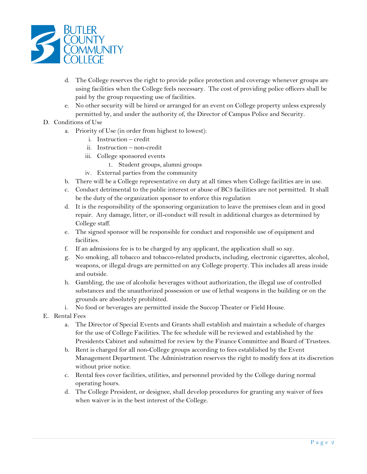

- d. The College reserves the right to provide police protection and coverage whenever groups are using facilities when the College feels necessary. The cost of providing police officers shall be paid by the group requesting use of facilities.
- e. No other security will be hired or arranged for an event on College property unless expressly permitted by, and under the authority of, the Director of Campus Police and Security.
- D. Conditions of Use
	- a. Priority of Use (in order from highest to lowest):
		- i. Instruction credit
		- ii. Instruction non-credit
		- iii. College sponsored events
			- 1. Student groups, alumni groups
		- iv. External parties from the community
	- b. There will be a College representative on duty at all times when College facilities are in use.
	- c. Conduct detrimental to the public interest or abuse of BC3 facilities are not permitted. It shall be the duty of the organization sponsor to enforce this regulation
	- d. It is the responsibility of the sponsoring organization to leave the premises clean and in good repair. Any damage, litter, or ill-conduct will result in additional charges as determined by College staff.
	- e. The signed sponsor will be responsible for conduct and responsible use of equipment and facilities.
	- f. If an admissions fee is to be charged by any applicant, the application shall so say.
	- g. No smoking, all tobacco and tobacco-related products, including, electronic cigarettes, alcohol, weapons, or illegal drugs are permitted on any College property. This includes all areas inside and outside.
	- h. Gambling, the use of alcoholic beverages without authorization, the illegal use of controlled substances and the unauthorized possession or use of lethal weapons in the building or on the grounds are absolutely prohibited.
	- i. No food or beverages are permitted inside the Succop Theater or Field House.
- E. Rental Fees
	- a. The Director of Special Events and Grants shall establish and maintain a schedule of charges for the use of College Facilities. The fee schedule will be reviewed and established by the Presidents Cabinet and submitted for review by the Finance Committee and Board of Trustees.
	- b. Rent is charged for all non-College groups according to fees established by the Event Management Department. The Administration reserves the right to modify fees at its discretion without prior notice.
	- c. Rental fees cover facilities, utilities, and personnel provided by the College during normal operating hours.
	- d. The College President, or designee, shall develop procedures for granting any waiver of fees when waiver is in the best interest of the College.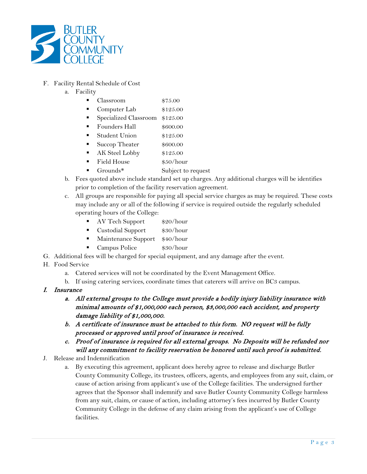

- F. Facility Rental Schedule of Cost
	- a. Facility
		- Classroom \$75.00
		- Computer Lab \$125.00
		- Specialized Classroom \$125.00
		- Founders Hall \$600.00
		- Student Union \$125.00
		- Succop Theater \$600.00
		- AK Steel Lobby \$125.00
		- Field House  $$50/hour$
		- Grounds\* Subject to request
	- b. Fees quoted above include standard set up charges. Any additional charges will be identifies prior to completion of the facility reservation agreement.
	- c. All groups are responsible for paying all special service charges as may be required. These costs may include any or all of the following if service is required outside the regularly scheduled operating hours of the College:
		- AV Tech Support \$20/hour
		- Custodial Support \$30/hour
		- Maintenance Support \$40/hour
		- Campus Police \$30/hour
- G. Additional fees will be charged for special equipment, and any damage after the event.

## H. Food Service

- a. Catered services will not be coordinated by the Event Management Office.
- b. If using catering services, coordinate times that caterers will arrive on BC3 campus.
- I. Insurance
	- a. All external groups to the College must provide a bodily injury liability insurance with minimal amounts of \$1,000,000 each person, \$3,000,000 each accident, and property damage liability of \$1,000,000.
	- b. A certificate of insurance must be attached to this form. NO request will be fully processed or approved until proof of insurance is received.
	- c. Proof of insurance is required for all external groups. No Deposits will be refunded nor will any commitment to facility reservation be honored until such proof is submitted.
- J. Release and Indemnification
	- a. By executing this agreement, applicant does hereby agree to release and discharge Butler County Community College, its trustees, officers, agents, and employees from any suit, claim, or cause of action arising from applicant's use of the College facilities. The undersigned further agrees that the Sponsor shall indemnify and save Butler County Community College harmless from any suit, claim, or cause of action, including attorney's fees incurred by Butler County Community College in the defense of any claim arising from the applicant's use of College facilities.